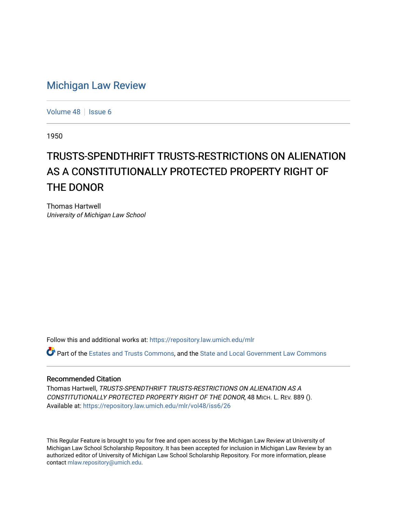## [Michigan Law Review](https://repository.law.umich.edu/mlr)

[Volume 48](https://repository.law.umich.edu/mlr/vol48) | [Issue 6](https://repository.law.umich.edu/mlr/vol48/iss6)

1950

## TRUSTS-SPEND THRIFT TRUSTS-RESTRICTIONS ON ALIENATION AS A CONSTITUTIONALLY PROTECTED PROPERTY RIGHT OF THE DONOR

Thomas Hartwell University of Michigan Law School

Follow this and additional works at: [https://repository.law.umich.edu/mlr](https://repository.law.umich.edu/mlr?utm_source=repository.law.umich.edu%2Fmlr%2Fvol48%2Fiss6%2F26&utm_medium=PDF&utm_campaign=PDFCoverPages) 

Part of the [Estates and Trusts Commons,](http://network.bepress.com/hgg/discipline/906?utm_source=repository.law.umich.edu%2Fmlr%2Fvol48%2Fiss6%2F26&utm_medium=PDF&utm_campaign=PDFCoverPages) and the [State and Local Government Law Commons](http://network.bepress.com/hgg/discipline/879?utm_source=repository.law.umich.edu%2Fmlr%2Fvol48%2Fiss6%2F26&utm_medium=PDF&utm_campaign=PDFCoverPages) 

## Recommended Citation

Thomas Hartwell, TRUSTS-SPENDTHRIFT TRUSTS-RESTRICTIONS ON ALIENATION AS A CONSTITUTIONALLY PROTECTED PROPERTY RIGHT OF THE DONOR, 48 MICH. L. REV. 889 (). Available at: [https://repository.law.umich.edu/mlr/vol48/iss6/26](https://repository.law.umich.edu/mlr/vol48/iss6/26?utm_source=repository.law.umich.edu%2Fmlr%2Fvol48%2Fiss6%2F26&utm_medium=PDF&utm_campaign=PDFCoverPages) 

This Regular Feature is brought to you for free and open access by the Michigan Law Review at University of Michigan Law School Scholarship Repository. It has been accepted for inclusion in Michigan Law Review by an authorized editor of University of Michigan Law School Scholarship Repository. For more information, please contact [mlaw.repository@umich.edu](mailto:mlaw.repository@umich.edu).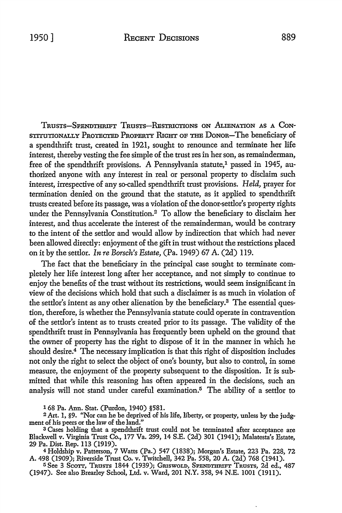TRUSTS-SPENDTHRIFT TRuSTs-RssnuCTioNs ON .ALmNATION AS A CoN-STITUTIONALLY PROTECTED PROPERTY RIGHT OF THE DONOR-The beneficiary of a spendthrift trust, created in 1921, sought to renounce and terminate her life interest, thereby vesting the fee simple of the trust res in her son, as remainderman, free of the spendthrift provisions. A Pennsylvania statute,<sup>1</sup> passed in 1945, authorized anyone with any interest in real or personal property to disclaim such interest, irrespective of any so-called spendthrift trust provisions. *Held,* prayer for termination denied on the ground that the statute, as it applied to spendthrift trusts created before its passage, was a violation of the donor-settlor's property rights under the Pennsylvania Constitution.2 To allow the beneficiary to disclaim her interest, and thus accelerate the interest of the remainderman, would be contrary to the intent of the settlor and would allow by indirection that which had never been allowed directly: enjoyment of the gift in trust without the restrictions placed on it by the settlor. *In re Borsch's Estate,* (Pa. 1949) 67 A. (2d) 119.

The fact that the beneficiary in the principal case sought to terminate completely her life interest long after her acceptance, and not simply to continue to enjoy the benefits of the trust without its restrictions, would seem insignificant in view of the decisions which hold that such a disclaimer is as much in violation of the settlor's intent as any other alienation by the beneficiary.3 The essential question, therefore, is whether the Pennsylvania statute could operate in contravention of the settlor's intent as to trusts created prior to its passage. The validity of the spendthrift trust in Pennsylvania has frequently been upheld on the ground that the owner of property has the right to dispose of it in the manner in which he should desire.<sup>4</sup> The necessary implication is that this right of disposition includes not only the right to select the object of one's bounty, but also to control, in some measure, the enjoyment of the property subsequent to the disposition. It is submitted that while this reasoning has often appeared in the decisions, such an analysis will not stand under careful examination.5 The ability of a settlor to

1 68 Pa. Ann. Stat. (Purdon, 1940) §581.

2 Art. 1, §9. "Nor can he be deprived of his life, liberty, or property, unless by the judgment of his peers or the law of the land."

<sup>3</sup>Cases holding that a spendthrift trust could not be terminated after acceptance are Blackwell v. Virginia Trust Co., 177 Va. 299, 14 S.E. (2d) 301 (1941); Malatesta's Estate, 29 Pa. Dist. Rep. 113 (1919).

<sup>4</sup>Holdship v. Patterson, 7 Watts (Pa.) 547 (1838); Morgan's Estate, 223 Pa. 228, 72 A. 498 (1909); Riverside Trust Co. v. Twitchell, 342 Pa. 558, 20 A. (2d) 768 (1941).

<sup>5</sup> See 3 Scott, Trusts 1844 (1939); Griswold, Spendthrift Trusts, 2d ed., 487 (1947). See also Brearley School, Ltd. v. Ward, 201 N.Y. 358, 94 N.E. 1001 (1911).